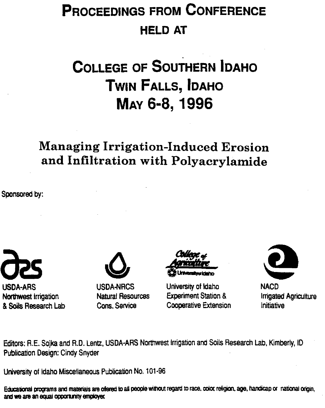# **PROCEEDINGS FROM CONFERENCE HELD AT**

# **COLLEGE OF SOUTHERN IDAHO TWIN FALLS, IDAHO MAY 6-8, 1996**

# Managing Irrigation-Induced Erosion and Infiltration with Polyacrylamide

Sponsored by:







USDA-ARS USDA-NRCS University of Idaho NACD Northwest irrigation Natural Resources Experiment Station & Irrigated Agriculture & Soils Research Lab Cons. Service Cooperative Extension Initiative



Editors: R.E. Sojka and R.D. Lentz, USDA-ARS Northwest Irrigation and Soils Research Lab, Kimberly, ID Publication Design: Cindy Snyder

University of Idaho Miscellaneous Publication No. 101-96

Educational programs and materials are ofered to all people without regard to race, color religion, age, handicap or national origin. **and we are an equal Imp:Org**y **einployet**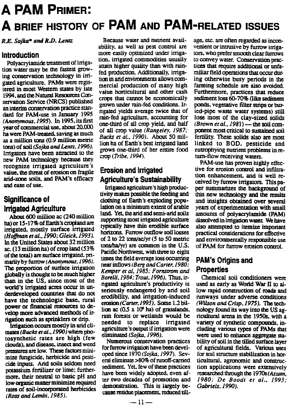# **A PAM PRIMER: A BRIEF HISTORY OF PAM AND PAM-RELATED ISSUES**

*R.E. Sojka\* and R.D. Lentz*

### **Introduction**

**Polyacrylamide treatment** of irriga**tion water** may **be** the fastest growing conservation technology in irrigated agriculture. PAMs were registered in most Western states by late 1994. and the Natural. Resources Conservation Service (NRCS) published an interim conservation practice standard for PAM-use **in January 1995** *(Anonymous,1995).* **In 1995,** its first **year of commercial use, about 20.000** ha were PAM-treated. saving as much as a million tons (0.9 million metric tons) of soil *(Sojka and Lenrz,1996).* Irrigators have been attracted to the new PAM technology because they recognize irrigated agriculture's value, the threat of erosion on fragile arid-zone soils, and PAM's efficacy and ease of use.

## **Significance of Irrigated Agriculture**

About 600 million ac (240 million ha) or 15-17% of Earth's cropland are irrigated, mostly surface irrigated *(Homan et al., 1990; Gleick, 1993).* In the **United States about** 32 **million ac.** (13 million ha) of crop land (53% of the total) are **surface irrigated,** pri**marily by furrow** *(Anonymous,1996). The* **proportion of surface irrigation** globally is thought to be much higher than in the US, since most of the world's irrigated acres occur in underdeveloped countries that do not have the technologic base, rural power or financial resources to develop more advanced methods of irrigation such as sprinklers or drip.

Irrigation occurs mostly in arid *cli***mates(Bucks** *et al., 1990)* where photosynthetic rates are high (few clouds), and disease, insect and weed pressures are low. These factors minimize fungicide, herbicide and pesticide inputs. Arid soils seldom need potassium fertilizer or lime; furthermore, their neutral to basic pH and low organic matter minimize required rates of soil-incorporated herbicides *(Ross and Lembi, 1985).*

Because **water and nutrient avail**ability, as well as pest control are more easily optimized under irrigation. irrigated commodities usually attain higher quality than with rainfed production. Additionally, irrigation in arid environments allows commercial production of many high value horticultural and other cash crops that cannot be economically grown under rain-fed conditions. Irrigated yields average twice that of rain-fed agriculture, accounting for one-third of all crop yield, and half of all crop value *(Rangeley, 1987; Bucks et al., 1990).* About 50 *million* ha of Earth's best irrigated land grows one-third of her entire food crop *(Tribe, 1994).*

# **Erosion and Irrigated Agriculture's Sustainability**

**Irrigated agriculture's high productivity makes possible the feeding and** clothing of Earth's exploding population on a minimum extent of arable land. Yet, the arid and **semi-arid** soils supporting most irrigated agriculture typically have thin erodible surface horizons. Furrow outflow soil losses of 2 to 22 **tonsiac/yr** (5 to 50 metric  $\text{tons/ha/yr}$  are common in the U.S. **Pacific Northwest. with three to eight times the field** average **loss occurring near** inflows *(Berg and Carter, 1980: Kemper et al, 1985; Fornstrom and Borelli,1984 ; Trout, 1996).* Thus, ir**rigated** agriculture's **productivity is seriously endangered by and soil erodibility, and irrigation-induced erosion** *(Carter, 1993).* Some 1.2 billion ac  $(0.5 \times 10^9 \text{ ha})$  of grasslands, rain forests or wetlands would be needed to replace irrigated **agriculture's output if irrigation were** eliminated *(Sojka, 1996).*

Numerous conservation practices for furrow irrigation have been developed since 1970 *(Sojka, 1997).* Sev**eral eliminate >80% of runoff-carried** sediment. Yet, few of these practices have been widely adopted, even after two decades of promotion and demonstration. This is largely because residue placement, reduced till-

age, etc. are often regarded as inconvenient or intrusive by furrow irriga**tors, who prefer smooth clear furmws** to convey water. Conservation practices that require additional or unfamiliar field operations that occur during otherwise busy periods in the fanning schedule are also avoided. Furthermore, practices that reduce sediment loss 60-70% (like sediment ponds, vegetative filter strips or buried-pipe waste water systems) still lose most of the clay-sized solids *(Brown eta!., 1981)—* the soil *component* most critical to sustained soil fertility. These solids also are most linked to BOD, pesticide and eutrophying nutrient problems in return-flow receiving waters.

PAM-use has proven highly effective for erosion control and infiltration enhancement, and is well received by furrow irrigators. This paper summarizes the background of this new technology and the results and insights obtained over several years of experimentation with small amounts of polyacrylamide (PAM) dissolved in irrigation water. We have also attempted to itemize important practical considerations for effective and environmentally responsible use of PAM for furrow erosion control.

## PAM's Origins and Properties

Chemical soil conditioners were used as early as World War 11 to allow rapid construction of roads and runways under adverse conditions *(Wilson and Crisp, 1975).* The technology found its way into the US agricultural arena in the 1950s, with a variety of synthetic compounds, including various types of PAMs that were used to enhance aggregate *stability* of soil in the tilled surface layer of agricultural fields. Various uses for soil structure stabilization in horticultural, agronomic and construction applications were extensively researched through the 1970s *(Azzam, 1980; De Boodt et al., 1993; Gabriels, 1990).*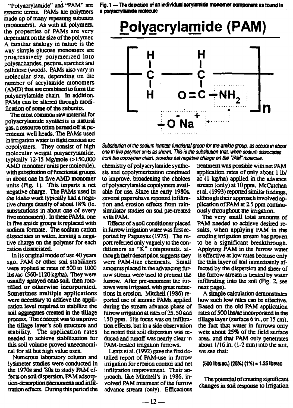"Polyacrylamide" and "PAM" are generic terms. PAMs are polymers made up of many repeating subunits (monomers). As with all polymers. the properties of PAMs are very dependant on the size of the polymer A familiar analogy in nature is the way simple glucose monomers are progressively polymerized into polysacharicies, pectins. starches and cellulose (wood). PAMs also vary in molecular size, depending on the number of acrylamide monomers (AMD) that are combined to form the polyacrylamide chain. In addition, PAMs can be altered through modification of some of the subunits.

The most common raw material for polyacrylamide synthesis is natural gas, a resource often burned off at petroleum well heads. The PAMs used *in* irrigation water to fight erosion are copolymers. They consist of high molecular weight polyacrylamide. typically 12-15 Mg/mole (>150.000 AMD monomer units per molecule), with substitution of functional groups in about one in five AMD monomer units (Fig. 1). This imparts a net **negative charge. The PAMs used in the Idaho work typically** had a negative charge density of about 18% (ie. substitutions in about one of every five monomers). In these PAMs. one in five amide groups is replaced with sodium formate. The sodium cation dissociates in water, leaving a negative charge on the polymer for each cation dissociated.

In its original mode of use 40 years ago, PAM or other soil stabilizers were applied at rates of 500 to 1000 lbs /ac (560-1120 kg/ha). They were usually sprayed onto soil, then rototilled or otherwise incorporated. Sometimes multiple applications were necessary to achieve the application level required to stabilize the soil aggregates created in the tillage process. The concept was to improve the tillage layer's soil structure and stability. The application rates needed to achieve stabilization for this **soil volume proved uneconomical for all but high value uses.**

**Numerous laboratory column and** lysimeter studies were conducted in the 1970s and '80s to study PAM effects on soil dispersion. PAM adsorption-desorption phenomena and infiltration effects. During this period the

Fig. 1 —The depiction of an individual acrylarnide monomer component as found in a polyacrytamide molecule



*Substitution of the sodium formate functional group for the amide group, as occurs in about one in five polymer units as shown. This is* the *subsitution that. wizen sodium dissociates from the copolymer main. provides net negative charge on the %Ur rnokicuie.*

chemistry of polyacrylamide synthesis and copolymerization continued to improve. broadening the choices of polyacrylamide copolymers available for use. Since the early 1980s, several papers√have reported infiltration and erosion effects from rainsimulator studies on soil pre-treated with PAM.

Effects of a soil conditioner placed in furrow irrigation water was first reported by Paganyas (1975). The report referred only vaguely to the conditioners as "K" **compounds. although** their description **suggests they were PAM-like chemicals. Small amounts placed** in **the** advancing furrow stream were used to pretreat the furrow. After pre-treatmem the furrows were irrigated, with great reductions in erosion. Mitchell (1986) reported use of anionic PAMs applied during the stream advance phase of furrow irrigation at rates of 25.50 and 150 ppm. His focus was on infiltration effects. but in a side observation he noted that soil dispersion was reduced and runoff was nearly clear in PAM-treated irrigation furrows.

Lentz et al. (1992) gave the first detailed report of PAM-use in furrow irrigation for erosion control and net infiltration improvement. Their approach. like Mitchell's in 1986, involved PAM treatment of the furrow advance stream (only). Efficacious treatment was possible with net PAM application rates of only about 1 lb/ ac (1 kg/ha) applied in the advance stream (only) at 10 ppm. McCutchan et al. (1993) reported similar *findings,* although their approach involved application of PAM at 2.5 ppm continuously throughout the irrigation.

The very small total amounts of PAM needed *to* achieve desired results, when applying PAM in the eroding irrigation stream has proven to be a significant breakthrough. Applying PAM in the furrow water *is* effective at low rates because only the thin layer of soil immediately affected by the dispersion and sheer of the furrow stream is treated by water infiltrating into the soil (Fig. 2, see next page).

A simple calculation demonstrates how such low rates can be effective. Based on the old PAM application rates of 500 lbs/ac incorporated in the tillage layer (surface 6 in., or  $15 \text{ cm}$ ). the fact that water in furrows only wets about 25% of the field surface area, and that PAM only penetrates about  $1/16$  in.  $(1-2 \text{ mm})$  into the soil. *we* see that:

 $(500$  lbs/ac.)  $(25%) (1%) = 1.25$  lbs/ac

The potential of creating significant changes in soil response to irrigation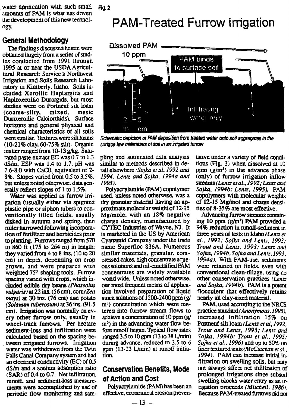water application with such small  $F_1g_2$ amounts of PAM is what has driven the development of this new technol-

#### **General Methodology**

The findings discussed herein were obtained largely from a series of studies conducted from 1991 through 1995 at or near the USDA Agricultural Research Service's Northwest Irrigation and Soils Research Laboratory in Kimberly, Idaho. Soils included Xerollic Haplargids and Haploxerollic Durargids. but most studies were on Pormeuf silt loam (coarse-silty, mixed, mesic Durixerollic Calciorthids). Surface horizons and general physical and chemical characteristics of all soils were similar. Textures were *silt* /clams (10-21% clay, 60-75% silt). Organic matter ranged from 10-13 g/kg. Saturated paste extract EC was 0.7 to 1.3 dS/m. ESP was 1.4 to 1.7. pH was  $7.6-8.0$  with CaCO<sub>3</sub> equivalent of  $2-$ 8%. Slopes varied from 0.5 to 3.5%, but unless noted otherwise. data generally reflect slopes of 1 to 1.5%.

Water was applied as furrow irrigation (usually either via spigoted plastic pipe or siphon tubes) to conventionally tilled fields, usually disked in autumn and spring, then roller harrowed following incorporation of fertilizer and herbicides prior to planting. Furrows ranged from 570 to 860 **ft** (175 to 264 m) in length: they varied from 4 to 8 ins. (10 to 20 cm) in depth, depending on crop grown. and were prepared with weighted 75° shaping tools. Furrow spacing varied with crops, which in**chided edible dry beans** *(Phaseolus vulgaris)at* 22 ins. (56 cm), com(Zea *nays) at* 30 ins. (76 cm) and potato *(Solanum tuberosum) at* 36 ins. (91.5 cm). Irrigation was normally on every other furrow only, usually in wheel-track furrows. Per hectare sediment-loss and infiltration were calculated based on the spacing be**tween irrigated furrows. Irrigation water was withdrawn from the** 'Irvin Falls Canal Company system and had an electrical conductivity (EC) of 0.5 dS/M and a sodium adsorption ratio (SAR) of 0.4 to 0.7. Net infiltration. runoff. and sediment-loss measurements were accomplished by use of periodic flow monitoring and sam-

the development of this new technol-<br>
PAM-Treated Furrow Irrigation



Schematic depiction of PAM deposition from treated water onto soil aggregates in the *surface few millimeters of soil in an irrigated furrow*

pling **and** automated data analysis similar to methods described in detail elsewhere *(Sojka er al. 1992 and 1994, Lentz and Sojka, 1994a and 1995).*

Polyacrylamide (PAM) copolymer used, unless noted otherwise, was a dry granular material having an approximate molecular weight of 12-15 Mg/mole. with an 18% negative charge density, manufactured by CYTEC Industries of Wayne, NJ. It **is marketed in** the US by American Cyanamid Company under the trade name Superfloc 836A. Numerous similar materials, granular. compressed cakes. high concentrate aqueous solutions and oil-emulsified PAM concentrates are widely available world wide. Unless noted otherwise, our most frequent means of application involved preparation of liquid stock solutions of 1200-2400 ppm (g/ m<sup>3</sup>) concentration which were metered into furrow stream flows to achieve a concentration of 10 ppm (g/  $m<sup>3</sup>$ ) in the advancing water flow before runoff began. Typical flow rates ranged  $3.5$  to  $10$  gpm  $(13$  to  $38$  L/min) during advance, reduced to 3.5 to 6 gpm (13-23 L/min) at runoff initiation.

### Conservation Benefits, Mode of Action and Cost

Polyacryl amide (PAM) has been an effective, economical erosion preventative under a variety of field conditions (Fig. 3) when dissolved at 10 ppm  $(g/m<sup>3</sup>)$  in the advance phase (only) of furrow irrigation inflow streams *(Lentz et al., 1992 ; Lentz and Sojka, 1994b; Lentz, 1995).* PAM copolymers with molecular weights of 12-15 Mg/mol and charge densities of 8-35% are most effective.

Advancing furrow streams containing 10 ppm  $(g/m<sup>3</sup>)$  PAM provided a 94% reduction in runoff-sediment *in* three years of tests in Idaho *(Lentz et al., 1992; Sojka and Lentz, 1993; Trout and Lentz, 1993; Lentz and Sojka,1994b, Sojka and Lentz, 1993, 1994a). With* PAM-use. sediments were retained on fields, even with conventional clean-tillage, using no other conservation practices *(Lentz and Sojka, 1994b*). PAM is a potent flocculent that effectively retains nearly all clay-sized material.

PAM, used according to the NRCS practice standard *(Anonymous,1995).* increased infiltration 15% on Portneuf silt loam *(Lentz et al, 1992, Trout and Lentz, 1993; Lentz and Sojka, 1994b; Trout er al., 1995; Sojka et al., 1996)* and up to 50% on finer textured soils *(McCutchan et al., 1994).* PAM *can* increase initial infiltration on swelling soils. but may not always affect net infiltration of prolonged irrigations since subsoil swelling blocks water entry as an irrigation proceeds *(Mitchell, 1986i.* Because PAM-treated furrows did not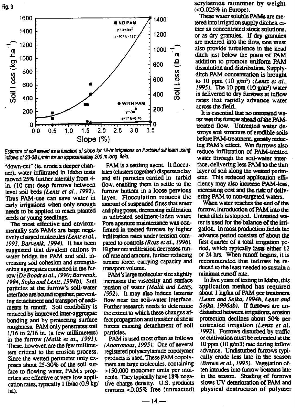Fig. 3



*Estimate of soli saved as a function of slope for 12-hr irrigations on Portneuf sift loam using inflows of 23.38 Umin for an approximatel* ► *200 m long held.*

"down-cut" (ie. erode a deeper channel), water infiltrated in Idaho tests moved 25% further laterally from 4 in. (10 cm) deep furrows between level soil beds *(Lentz et al, 1992).* Thus PAM-use can save water in early irrigations when only enough needs to be applied to reach planted seeds or young seedlings.

The most effective and environmentally safe PAMs are large negatively charged molecules *(Lentz et al., 1993, Barvenik. 1994).* It has been suggested that divalent cations in water bridge the PAM and soil, increasing soil cohesion and strengthening aggregates contacted in the furrow *(De Boodt et al., 1990; Barvenik, 1994, Sojka and Lentz, 1994b).* Soil particles at the furrow's soil-water interface are bound together preventing detachment and transport of sediments in runoff. Soil erodibility *is* reduced by improved inter-aggregate bonding and by protecting surface roughness. PAM only penetrates soil  $1/16$  to  $2/16$  in. (a few millimeters) in the furrow *(Malik et al., 1991).* These. however. are the few millimeters critical to the erosion process. Since the **wetted perimeter only exposes about 25-30% of the soil sur**face to flowing water, PAM's properties are effective at very low application rates, typically I lb/ac (0.9 kg/ ha).

PAM is a settling agent. It flocculates (dusters together) dispersed clay and silt particles carried in turbid flow, enabling them to settle to the furrow bottom in a loose pervious layer. Flocculation reduces the amount of suspended fines that enter and plug pores, decreasing infiltration in untreated sediment-laden water Pore aperture maintenance was confirmed in treated furrows by higher infiltration rates under tension compared to controls *(Ross et al., 1996). Higher* net infiltration decreases rtmoff rate and amount. further reducing stream force, carrying capacity and transport volume.

PAM's large molecular size slightly increases the viscosity and surface tension of water *(Malik and Letey, 1992).* It may also induce laminar flow near **the soil-water interface. Further research needs to determine** the extent to which these changes affect propagation and transfer of shear forces causing detachment of soil particles.

PAM is used most often as follows *(Anonymous, 1995):* One of several registered polyacrylamide copolymer products is used. These PAM copolymers are large molecules. containing >150,000 monomer units per molecule. They typically have 18% negative charge density. U.S. products contain <0.05% free (unreacted)

acrylamide monomer by weight (<0.025% in Europe).

These water soluble PAMs are metered into irrigation supply ditches. either *as* concentrated stock solutions, or as dry granules. If **dry granules** are metered into the flow, one must also provide turbulence in the head ditch just below the point of PAM addition to promote uniform PAM dissolution and distribution. Supplyditch PAM concentration is brought to 10 ppm (10 g/m3) *(Lentz et al., 1995).* The 10 ppm (10 g/m3) water is delivered to dry furrows at inflow rates that rapidly advance water across the field.

It is essential that no untreated water wet the furrow ahead of the PAMtreated flow. Untreated water destroys soil structure of erodible soils before PAM-treatment, greatly reducing PAM's effect. Wet furrows also reduce infiltration of PAM-treated water through the soil-water interface, delivering less PAM to the thin layer of soil along the wetted perimeter. This reduced application efficiency may also increase PAM-loss, increasing cost and the risk of delivering PAM to non-targeted waters.

When water reaches the end of the furrow, introduction of PAM into the head ditch is stopped. Untreated water is used for the balance of the irrigation. In most production fields the advance period consists of about the first quarter of a total irrigation period, which typically lasts either 12 or 24 hrs. When runoff begins, it is recommended that inflows be reduced to the least needed to sustain a minimal runoff rate.

In five years of testing in Idaho. this application method has required about 1 kg/ha of PAM per treatment (Lentz and Sojka, 1994b, Lentz and *Sojka, 1996ab).* If furrows are undisturbed between irrigations, erosion protection declines about 50% per untreated irrigation *(Lentz er a!. 1992).* Furrows disturbed by traffic or cultivation must be retreated at the 10 ppm (10 g/m3) rate during inflow advance. Undisturbed furrows typically erode less late in the season *(Brown et al., 1995).* Vegetation often intrudes into furrow bottoms late in the season. Shading of furrows slows UV deterioration of PAM and physical destruction of polymer

 $-14-$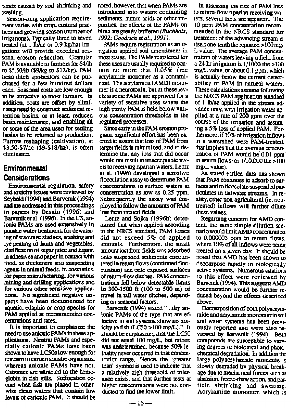bonds caused by soil shrinking and swelling.

Season-long application requirement varies with crop, cultural practices and growing season (number of irrigations). Typically three to seven treated (at 1 lb/ac or 0.9 kg/ha) irrigations will provide excellent seasonal erosion reduction. Granular PAM is available to farmers for \$4/1b to \$5.50/lb (\$9/kg to \$12/kg). PAM head ditch applicators can be purchased for a few hundred dollars each. Seasonal costs are low enough to be attractive to most farmers. In addition, costs are offset by eliminated need to construct sediment retention basins, or at least, reduced **basin maintenance, and enabling all** or some of the area used for settling basins to be returned to production. Furrow reshaping (cultivation), at \$3.50-S7/ac (\$9-\$18/ha), is often eliminated.

### **Environmental Considerations**

Environmental regulation, safety and toxicity issues were reviewed by Seybold (1994) and Barvenik (1994) and are addressed in this proceedings in papers by Deskin (1996) and Barvenik et al. (1996). In the US, **anionic PAMs are used extensively in potable water treatment,** for dewatering of sewerage sludges, washing and lye pealing of fruits and vegetables, clarification of sugar juice and liquor in adhesives and paper in contact with food, as thickeners and suspending agents in animal feeds, in cosmetics, for paper manufacturing, for various mining and drilling applications and for various other sensitive applications. No significant negative impacts have been documented for aquatic, edaphic or crop species for PAM applied at recommended concentrations and rates.

It is important to emphasize the need to use anionic PAMs in these applications. Neutral PAMs and especially cationic PAMs have been shown to have LC5Os low enough for concern to certain aquatic organisms. whereas anionic PAMs have not. Cationics are attracted to the hemoglobin in fish gills. Suffocation occurs when fish are placed in otherwise clean waters that contain low levels of cationic PAM. It should be

noted, however, that when PAMs are introduced into waters containing sediments, humic acids or other impurities. the effects of the PAMs on biota are greatly buffered *(Buchholz, 1992: Goodrich et al\_ 1991).*

PAMs require registration as an irrigation applied soil amendment *in* most states. The PAMs registered for these uses are usually required to contain no more that 0.05% free acrylamide monomer as a contaminant. The acrylamide (AMD) monomer is a neurotoxin. but at these levels anionic PAMs are approved for a variety of sensitive uses where the high purity PAM is held below various concentration thresholds in the regulated processes.

**Since** early in the PAM erosion program, significant effort has been exerted to assure that loss of PAM from target fields is minimized, and to determine that any loss that did occur would not result in unacceptable levels to receiving riparian waters. Lentz et al. (1996) developed a sensitive flocculation assay to determine PAM concentrations in surface waters at concentration as low as 0.25 ppm. Subsequently the assay was employed to follow the amounts of PAM lost from treated fields.

Lentz and Sojka (1996b) determined that when applied according to the NRCS standard, PAM losses did not exceed 5% of applied amounts. Furthermore. the small amount lost from fields was adsorbed onto suspended sediments encountered in return flows (continued flocculation) and onto exposed surfaces of return-flow ditches. PAM concentrations fell below detectable *limits* in 300-1500 *ft* (100 to 500 m) of travel in tail water ditches, depending on seasonal factors.

Barvenik (1994) stated "...dry anionic PAMs of the type that are effective in soil systems show no toxicity to fish  $(LCSO > 100 \text{ mg/L})$ ." It should be emphasized that the LC50 did not equal 100 mg/L, but rather. was undetermined, because 50% *lethality* never occurred in that concentration range. Hence. the "greater than" symbol is used to indicate that a relatively high threshold of tolerance exists, and that further tests at higher concentrations were not conducted to find the lower limit.

In assessing the risk of PAM-loss. to return-flow riparian receiving waters. several facts are apparent. The 10 ppm PAM concentration recommended in the NRCS standard for treatment of the advancing stream is itself one-tenth the reported >100 mg/ L value. The average PAM concentration of waters leaving a field from a 24 hr irrigation is  $1/1000$  the  $>100$ mg/L value, or about 0.1 ppm. which is actually below the current detectability of PAM in natural waters. These calculations assume following the NRCS PAM application standard of 1 lb/ac applied in the stream advance only, with irrigation water applied at a rate of 200 gpm over the course of the irrigation and assuming a 5% loss of applied PAM. Furthermore. if 10% of irrigation inflows *in a* watershed were PAM-treated. that implies that the average concentration of PAM would be 0.01 ppm in return flows (or  $1/10,000$  the  $> 100$ mg/L value).

As stated earlier, data has shown that PAM continues to adsorb to surfaces and to flocculate suspended particulates in tailwater streams. In reality, other non-agricultural (ie. nontreated) inflows will further dilute these values.

Regarding concern for AMD content., the same simple dilution scenario would limit AMD concentration to 0.000005 ppm in return flows. where 10% of all inflows were being treated on a given day. It should be noted that AMD has been shown to decompose rapidly in biologically active systems. Numerous citations *to* this effect were reviewed by Barvenik (1994). This suggests AMD concentration would be further reduced beyond the effects described above.

Decomposition of both polyacrylamide and acrylamide monomer in soil and water systems has been previously reported and were also reviewed by Barvenik (1994). Both compounds are susceptible to varying degrees of biological and photochemical degradation. In addition the large polyacrylamide molecule is slowly degraded by physical breakage due to mechanical forces such as abrasion, freeze-thaw action. and *par*ticle shrinking and swelling. Acrylamide monomer, which *is*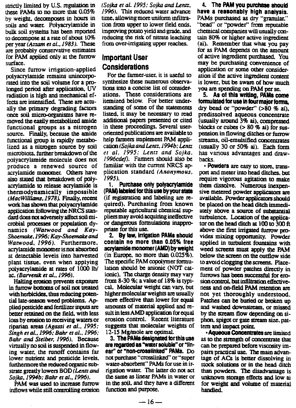strictly limited by U.S. regulation in these PAMs to no more that 0.05% by weight, **decomposes** in hours in soils and water: Polyacrylamide in bulk soil systems has been reported to decompose at a rate of about 10% per year *(Azzam et al.. 1983).* These are probably conservative estimates for PAM applied only at the furrow surface.

Since furrow irrigation-applied polyacrylamide remains unincorporated into the **soil volume** for a prolonged period after application. UV radiation is high and mechanical effects are intensified. These are actually the primary degrading factors once soil micro-organisms have removed the **easily metabolized amide functional groups** as a nitrogen source. Finally, because the amide functional group is rapidly metabolized as a nitrogen source by soil microbiota, further breakdown of the polyacrylamide **molecule does not produce a renewed source** of acrylamide monomer. Others have also stated that breakdown of polyacrylamide to release acrylamide is thermodynamically impossible *(MacWilliams, 1978)* Finally, recent work has shown that polyacrylamide application following the NRCS standard does not adversely affect soil microbial processes or population dynamics *(Watwood and Kay-Shoemake,1996; Kay-Shovnake and Watwood, 1996).* **Furthermore, acrylamide monomer is not absorbed** at detectable levels into harvested plant tissue, even when applying polyacrylamide at rates of 1000 lb/ *ac. (Barvenik et al., 1996).*

Halting erosion prevents exposure in furrow bottoms of soil not treated with herbicides. thus reducing potential late-season weed problems. Applied pesticide **and fertilizer** inputs **are** better retained on the field. with less loss by erosion to receiving waters or riparian areas *(Agassi et al., 1995; Singh et al., 1996; Bahr et al., 1996; Bahr and Steiber, 1996).* Because virtually no soil is suspended in flowing water, the runoff contains far lower nutrient and pesticide levels, furthermore the reduced organic substrate greatly lowers SOD *(Lentz and Sojka,1994b; Bahr et al., 1996).*

**PAM was** *used* **to increase furrow inflows while still coraralling erosion**

*(Sojka et a!. 1995; Sojka and Lentz, 1996).* This reduced water advance time. allowing more uniform infiltration from upper to lower field ends. improving potato yield and grade, and reducing the risk of nitrate leaching from over-irrigating upper reaches.

### **Important User Considerations**

For the farmer-user, it is useful to synthesize these numerous observations into a concise list of considerations. These considerations are itemized below. For better understanding of some of **the statements listed,** it may be necessary to read additional papers presented or cited in these proceedings. Several useroriented publications are available to help farmers implement PAM application *(Sojka and Lentz, I994b; Lentz et a!. 1995; Lentz and Sojka. 1996cdef).* Fanners should also be familiar with the current NRCS application standard *(Anonymous, 1995).*

**1. Purchase only polyacrylamide (PAM) labeled for this use by your state** (if **registration and** labeling are required). Purchasing from known reputable agricultural chemical suppliers may avoid acquiring ineffective or dangerous formulations inappropriate for this *use.*

**2. By law, irrigation PAMs should contain no more than 0.05% free acrylamide monomer (AMD) by weight** (in Europe. no more than 0.025%). The **specific** PAM **copolymer formulation should** be anionic (NOT cationic). The charge density may vary from 8-30 %; a value of 18% is typical. Molecular weight can vary, but higher molecular weights are usually more effective than lower for equal amounts of material applied and result in less AMD application for equal erosion control. Recent literature suggests that *molecular* weights of 12-15 Mg/mole are optimal.

3. The PAMs designated for this use are regarded as "water soluble" or "linear" or "non-crossiinked" PAMs. Do not purchase "crosslinked" or "super water-absorbent" PAMs for use in irrigation water. The latter do not act the same as linear PAMs in water or in the soil, and they have a different function and purpose.

4. The PAM you purchase should have a reasonably high analysis. PAMs purchased as dry "granular," "bead" or "powder" from reputable chemical companies will usually contain 80% or higher active ingredient (ai). Remember that what you pay for as PAM depends on the amount of active ingredient purchased. You may be purchasing convenience of application or some other consideration if the active ingredient content is lower, but be aware of how much you are spending on PAM per se.

5. As of this writing, PAMs come formulated for use in lour major forms, dry bead or "powder" (>80 % ai), predissolved aqueous concentrate (usually around 3% ai), compressed blocks or cubes (> 80 % ai) for *suspension* in flowing ditches or furrow streams, oil-emulsified concentrates (usually 30 or 50% ai). Each form has various advantages and drawbacks.

Powders are easy to store. transport and meter into head ditches, but require vigorous agitation to make them dissolve. Numerous inexpensive metered powder applicators are available. Powder applicators should be placed on the head ditch immediately above a source of substantial turbulence. Location of the applicator on the head ditch at 100 to 300 **ft** above the first irrigated furrow provides mixing opportunity. Powder applied in turbulent fountains with *weed* screens must apply the PAM below the screen on the outflow side to avoid clogging the screens. Placement of powder patches directly in furrows has been successful for erosion control, but infiltration effectiveness and on-field PAM retention are not yet thoroughly understood. Patches can be buried or broken up and washed downstream, or missed by the stream flow depending on siphon, spigot or gate stream size. pattern and impact point.

• Aqueous Concentrates are limited as to the strength of concentrate that can be prepared before viscosity impairs practical *use.* The main advantage of ACs is better dissolving in stock solutions or in the head ditch than powders. The disadvantage is unknown storage effects and low ai for weight and volume of material handled.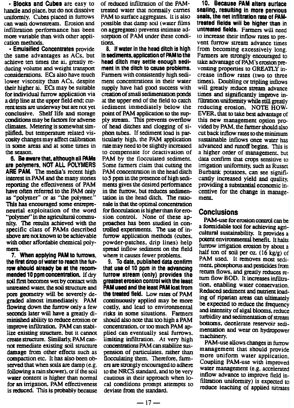**• Blocks and Cubes** are easy to handle and place, but do not dissolve uniformly. Cubes placed in furrows can wash downstream. Erosion and infiltration performance has been more variable than With other application methods.

• Emulsified Concentrates provide the **same** advantages as ACs, but achieve ten times the ai. greatly reducing volume and weight transport considerations. ECs also have much lower viscosity than ACs, despite their higher ai. ECs may be suitable for individual furrow application via a drip line at the upper field end: current tests are underway but are not yet conclusive. Shelf life and storage conditions may be factors for adverse climates. Metering is somewhat simplified, but temperature related viscosity changes may affect calibration in some areas and at some times in the season.

**6. Be aware that, although all PAMs are polymers, NOT ALL POLYMERS ARE PAM The media's recent high interest in PAM and the many stories repotting** the effectiveness of PAM have often referred to the PAM only as "polymer" or as "the **polymet" This has encouraged** some entrepreneurial exploitation of the word "polymer" in the agricultural commu**nity. The results achieved with the** specific class **of PAMs described above are not known to be achievable with other affordable chemical poly**mers.

**7. When applying PAM to furrows, the first drop of water to reach the furrow should already be at the recommended 10 ppm concentration.** If dry soil first becomes wet by contact with untreated water, the soil structure and pore geometry will be severely degraded almost immediately. PAM flowing down the furrow only a few seconds later will have a greatly diminished ability to reduce erosion or improve infiltration. PAM can stabilize existing structure. but it cannot create structure. Similarly, PAM cannot remediate existing soil structure damage from other effects such as compaction etc. It has also been observed that when soils are damp (e.g. following a rain shower), or if the soil water content is higher than normal for an irrigation. PAM effectiveness is reduced. This is probably because

of reduced infiltration of the PAMtreated water that normally carries PAM to surface aggregates. It is also possible that damp soil (water films on aggregates) prevents intimate adsorption of PAM under these conditions.

**8. If water in the head ditch is high In sediments, application of PAM to the head ditch may settle enough sedimem in the ditch to cause problems.** Farmers with consistently high sediment concentrations in their water supply have had good success with creation of small sedimentation ponds at the upper end of the field to catch sediment immediately below the point of PAM application to the supply stream. This prevents overflow of head ditches and clogging of siphon tubes. If sediment load is particularly high. the PAM application rate may need to be slightly increased to compensate for deactivation of PAM by the flocculated sediment. Some farmers claim that cutting the PAM concentration in the head ditch to 5 ppm in the presence of high sediments gives the desired performance in the furrow, but reduces sedimentation in the head ditch. The rationale is that the optimal concentration for flocculation is higher than for erosion control. None of these approaches has been studied in controlled experiments. The use of infurrow application methods (cubes, powder-patches, drip lines) help spread inflow sediment on the field where it causes fewer problems.

9. To date, published data confirm that use of 10 ppm in the advancing furrow stream (only) provides the greatest erosion control with the least PAM used and the least PAM lost from the treated field. Low rates of PAM continuously applied may be more costly, and lead to environmental risks in some situations. Farmers should also note that too high a PAM concentration. or too much PAM applied can eventually seal furrows, limiting infiltration. At very high concentrations PAM can stabilize suspension of particulates. rather than flocculating them. Therefore, farmers are strongly encouraged to adhere to the NRCS standard. and to be very cautious in their approach when local conditions prompt attempts to deviate from the standard.

10. Because PAM alters surface sealing, resulting in more pervious seals, the net infiltration rate of PAMtreated fields will be higher than in untreated fields. Farmers will need to increase their inflow rates to prevent furrow stream advance times from becoming excessively long. Farmers are strongly encouraged to take advantage of PAM's erosion preventing properties to GREATLY increase inflow rates (two to three times). Doubling or tripling inflows will greatly reduce stream advance times and significantly improve infiltration uniformity while still greatly reducing erosion. NOTE HOW-EVER, that to take best advantage of this new management option provided by PAM, the farmer should also cut back inflow rates to the minimum sustainable inflows once water has advanced and runoff begins. This is a higher order of management. but data confirm that crops sensitive to irrigation uniformity, such as Russet Burbank potatoes, can see significantly increased yield and quality. providing a substantial economic incentive for the change in management.

#### Conclusions

PAM-use for erosion control can be a formidable tool for achieving agricultural sustainability. It provides a potent environmental benefit. It halts furrow irrigation erosion by about a half ton of soil per oz.  $(16 \text{ kg/g})$  of PAM used. It removes most sediment, phosphorus and pesticides from return flows, and greatly reduces return flow BOD. It increases infiltration. enabling water conservation. Reduced sediment and nutrient loading of riparian areas can ultimately be expected to reduce the frequency and intensity of algal blooms, reduce turbidity and sedimentation of stream bottoms, decelerate reservoir sedimentation and wear on hydropower machinery.

PAM-use allows changes in furrow management that should provide more uniform water application. Coupling PAM-use with improved water management (e.g. accelerated inflow advance to improve field infiltration uniformity) is expected to reduce leaching of applied nitrates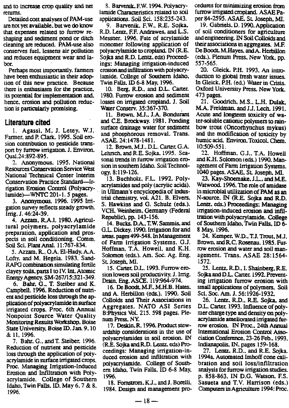and to increase crop quality and net returns.

Detailed cost analyses of PAM-use are not yet available. but we do know that expenses related to furrow reshaping and sediment pond or ditch cleaning are reduced. PAM-use also conserves fuel. lessens air pollution and reduces equipment wear and labor.

Perhaps most importantly. fanners have been enthusiastic in their adoption of this new practice. Because there is enthusiasm for the practice, its potential for implementation and, hence, erosion and pollution reduction is particularly promising.

#### **Literature cited**

1. Agassi, M. J. Letey, W.J. Farmer, and P. Clark. 1995. Soil erosion contribution to pesticide transport by furrow irrigation. J. Environ. Qual.24 :892-895.

2. Anonymous. 1995. National Resources Conservation Service West National Technical Center Interim Conservation Practice Standard--Irrigation Erosion Control (Polyacry $l$ amide)--WNTC 201-1.5 pages.

3. Anonymous. 1996. 1995 Irrigation survey reflects steady growth. Irrig.J. 46:24-39.

4. Azzam, R.A.I. 1980. Agricultural polymers, polyacrylamide preparation. application and prospects in soil conditioning. Comm. Soil Sci. Plant Anal. 11:767-834.

5. Azzam. R., O.A. El-Hady. A.A. Lofty. and M. Hegela. 1983. Sand-RAPG combination simulating fertile clayey soils, parts I to IV. Int. Atomic Energy Agency. SM-267/15:321 -349.

6. Bahr, G.. T. Steiber and K. Campbell. 1996. Reduction of nutrient and pesticide loss through the application of polyacrylamide in surface irrigated crops. Proc. 6th Annual Nonpoint Source Water Quality Monitoring Results Workshop. Boise State University, Boise ID. Jan. 9. 10 & 11, 1996.

7. Bahr, G.. and T. Steiber. 1996. Reduction of nutrient and pesticide loss through the application of polyacrylamide in surface irrigated crops. Proc. Managing Irrigation-Induced Erosion and Infiltration with Polyacrylamide. College of Southern Idaho. Twin Falls. ID. May 6. 7 & 8. 1996.

8. Barvenik. F.W. 1994. Polyacry- 'amide Characteristics related to soil applications. Soil Sci. 158:235-243.

9. Barvenik, F.W., R.E. Sojka. R.D. Lentz, F.F. Andrawes. and L.S. Messner. 1996. Fate of acrylamide monomer following application of polyacrylamide to cropland. IN (RE. Sojka and R.D. Lentz. eds) Proceedings: Managing irrigation-induced erosion and infiltration with polyacry lamide. College of Southern Idaho, Twin Falls. ID 6-8 May, 1996.

10. Berg, R.D., and D.L. Carter. 1980. Furrow erosion and sediment losses on irrigated cropland. *3.* Soil Water Conserv. 35:367-370.

**11. Brown, Mi.,** J.A. **Bondurant** and C.E. Brockway. 1981. Pending surface drainage water for sediment and phosphorous removal. Trans. ASAE. 24:1478-1481.

12.Brown, *Mi..* DI. Carter. G.A. Lehrsch. and R.E. Sojka. 1995. Seasonal trends in furrow irrigation erosion in southern Idaho. Soil Technology. 8:119-126.

13. Buchholz, F.L. 1992. Poly**acrylamides and** poly (acrylic acids). in **Ullmann's** encyclopedia of **indus**trial chemistry, vol. A21. B. Elvers, S. Hawkins and G. Schulz (eds.). VCH, Weinheim, Germany (Federal Republic), pp. 143-156.

14.Bucks, D.A., T.W. Sammis. and G.L. Dickey. 1990. Irrigation for and areas. pages 499-548. In Management of Farm Irrigation Systems. G.J. Hoffman, T.A. Howell, and K.H. Solomon (eds.). Am. Soc. Ag. Eng. Si Joseph, MI.

15.Caner, D.L. 1993. Furrow erosion lowers soil productivity. J. Irrig. Drain. Eng. ASCE. 119:964-974.

16.De Boodt, M.E. M.H.B. Hates, and A. Herbillon (eds.). 1990. Soil Colloids and Their Associations in Aggregates. NATO AS1 Series B:Physics Vol. 215. 598 pages. Plenum Press. NY.

17.Deskin.R. 1996. Product stewardship considerations in the use of polyacrylamides in soil erosion. IN (R.E. Sojka and RD. Lentz, eds) Proceedings: Managing irrigation-induced erosion and infiltration with polyacryiamide. College of Southern Idaho, Twin Falls. ID 6-8 May, 1996.

18. Fornstrom. KJ., and J. Borelli. 1984. Design and management pro-

cedures for minimizing erosion from furrow irrigated cropland. ASAE Paper 84-2595. ASAE. SL Joseph. MI.

19. Gabriels, D. 1990. Application of soil conditioners for agriculture and engineering. IN Soil Colloids and their associations in aggregates. M.F. *De* Boodt. M.Hayes, and A. Herbillon (eds.). Plenum Press, New York, pp. 557-565.

20. Gleick, P.H. 1993. An introduction to global fresh water issues. In Gleick, P.H. (ed.) Water in Crisis. Oxford University Press. New York. 473 pages.

21. Goodrich, M.S.. L.H. Dulak, M.A. Freidman. and J.J. Lech. 1991. Acute and longterm toxicity of water-soluble cationic polymers to rainbow trout (Oncorhynchus mykus) and the modification of toxicity by humic acid. Environ. Toxicol. Chem. 10:509-551.

22. Hoffman. G.J., T.A. Howell and K.H. Solomon (eds.) 1990. Management of Farm Irrigation Systems. 1044) pages. ASAE. SL Joseph, MI.

23. Kay-Shoemake. J.L., and M.E. Watwood. 1996. The role of amidase in microbial utilization of PAM as an N-source. IN (RE. Sojka and R.D. Lentz. eds.) Proceedings: Managing irrigation-induced erosion and infiltration with polyacrylamide. College of Southern Idaho, Twin Falls. ID 6- 8 May, 1996.

24. Kemper. W.D., T.J. Trout, M.J. Brown, and R.C. Rosenau. 1985. Furrow erosion and water and soil management. Trans. ASAE 28:1564- 1572.

25. Lentz. R.D.. I. Shainberg, R.E. Sojka and D.L. Carter. 1992. Preventing irrigation furrow erosion with small applications of polymers. Soil Sci. Soc. Am. J. 56:1926-1932.

26. Lentz. R.D., R.E. Sojka, and D.L. Carter. 1993. Influence of polymer charge type and density on polyacrylamide ameliorated irrigated furrow erosion. IN Proc.. 24th Annual International Erosion Control Association Conference, 23-26 Feb.. 1993. Indianapolis. IN, pages 159-168.

27. Lentz, R.D.. and R.E. Sojka. 1994a. Automated Imhoff cone calibration and soil loss/infiltration analysis for furrow irrigation studies. p. 858-863. IN D.G. Watson. F.S. Sasueta and T.V. Harrison (eds.) Computers inAgriculture 1994: Proc.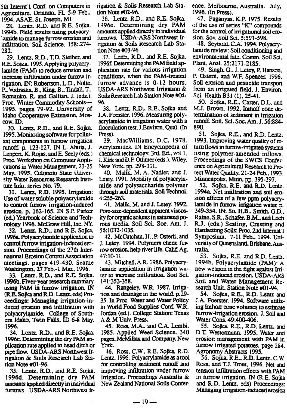5th Internt'l Conf. on Computers in Agriculture. Orlando. FL 5-9 Feb.. 1994. ASAE. St. Joseph, MI.

28. Lentz. R.D. and R.E. Sojka. 1994b. Field results using polyacrylamide to manage furrow erosion and infiltration. Soil Science. 158:.274- 282.

29. Lentz. R.D., T.D. Steiber. and R.E. Sojka. 1995. Applying polyacrylamide (PAM) to reduce erosion and increase infiltration under furrow irrigation. IN: Robertson, L.D.. Nolte. P., Vodraska, B., King, B., Tindall. T., Romanko. R. and Gallian, J. (eds.). Proc. Winter Commodity Schools-1995. pages 79-92. University of Idaho Cooperative Extension, Moscow, ID.

30. Lentz, RD., and R.E. Sojka. 1995. Monitoring software for pollutant components in furrow irrigation runoff. p. 123-127. IN L. Ahuja, J. Leppert. K. Rojas, and E. Seely (eds.) Proc. Workshop on Computer Applications in Water Management, 23-25 May, 1995. Colorado State University Water Resources Research Institute Info. series No. 79.

31. Lentz, R.D. 1995. Irrigation: Use of water soluble polyacryiamide to control furrow irrigation-induced erosion. p. 162-165. IN S.P. Parker (ed.) Yearbook of Science and Technology 1996. McGraw Hill. Inc. NY

32. Lentz. RD.. and R.E. Sojka. 1996a. Polyacrylamide application to control furrow irrigation-induced erosion. Proceedings of the 27th International **Erosion Control Association** meetings. pages 419-430. Seattle Washington. 27 Feb.-1 Mar. 1996.

33. Lentz, R.D., and R.E. Sojka. **1995b. Fiver-year** research summary using PAM in furrow irrigation. IN **(R.E. Sojka and RD.** Lentz. eds) Proceedings: Managing irrigation-induced erosion and infiltration with polyacryiamide. College of Southern Idaho, Twin Falls. ID 6-8 May, 1996.

34. Lentz. R.D., and R.E. Sojka. 1996c. Determining the dry PAM application rate applied to head ditch or pipe flow. USDA-ARS Northwest Irrigation & Soils Research Lab Station Note #01-96.

35. Lentz. R.D., and R.E. Sojka. 1996d. Determining *dry* PAM amounts applied directly in individual furrows. USDA-ARS Northwest Ir-

rigation & Soils Research Lab Station Note #02-96.

36. Lentz. R.D.. and RE. Sofia.. 1996e. Determining dry PAM amounts applied directly in individual furrows. USDA-ARS Northwest Irrigation & Soils Research Lab Station Note #03-96.

37. Lentz, R.D., and R.E. Sojka. 1996f. Determining the PAM field application rate for various irrigation conditions. when the PAM-treated furrow advance is 0-12 hours. USDA-ARS Northwest Irrigation & Soils Research Lab Station Note #04-95.

38. Lentz, RD., RE.. Sojka and J.A. Foerster. 1996. Measuring polyacrylamide in irrigation water with a flocculation test. J.Environ. Qual. (In Press).

39. MacWilliams. D.C. 1978. Acrylamides. IN Encyclopedia of chemical technology, 3rd. Ed.. vol 1. 1. Kirk and D.F. Othmer (eds.). Wiley. New York. pp. 298-311.

40. Malik. M. A. Nadler, and J. Letey. 1991. Mobility of polyacrylamide and polysaccharide polymer through soil materials. Soil Technol. 4:255-263.

41. Malik. M, and *J.* Letey. 1992. Pare-**size**-dependent apparent viscosity for organic solutes in saturated porous media. Soil Sci. Soc. Am. J. 56:1032-1035.

42. McOnchan, H., P Osterli, and J. Letey. 1994. Polymers check fuF row erosion, help river life. Calif. Ag. 47:10-11.

43. Mitchell. A.R. 1986. Polyacrylamide application in irrigation water to increase infiltration, Soil Sci. 141:353-358.

44. Rangeley, W.R. 1987. Irrigation and drainage in the world. p.29- 35. In Proc. Water and Water Policy in World Food Supplies Conf. W.R. Jordan (ed.). College Station: Texas A & M Univ. Press.

45. Ross, M.A., and C.A. Lembi. 1985. Applied Weed Science. 340 pages. McMillan and Company. New York.

46. Ross, C.W., R.E. Sojka, R.D. Lenz. 1996. Polyacrylamide as a tool for controlling sediment runoff and improving infiltration under furrow irrigation. Proceedings Australia & New Zealand National Soils Confer-

ence, Melbourne. Australia. July, 1996. (In Press).

47. Paganyas. K.P. 1975. Results of the use of series "K" compounds for the control of irrigational soil erosion. Soy. Soil Sci. 5:591-598.

48. Seybold, C.A. 1994. Polyacrylamide review: Soil conditioning and environmental fate. Comm. Soil Sci. Plant. Anal. 25:2171-2185.

49. Singh, G.. J. Letey, P. Hanson. P. Osterli. and W.F. Spencer. 1996. Soil erosion and pesticide transport from an irrigated field. *3.* Environ. Sci. Health B31 (1), 25-41.

50. Sojka, R.E., Carter, D.L. and M.J. Brown. 1992. Imhoff cone determination of sediment in irrigation runoff. Soil. Sci. Soc. Am. J. 56:884- 890.

51. Sojka, R.E., and R.D. Lentz. 1993. Improving water quality of return flows in furrow-irrigated systems using polymer-amended inflows. Proceedings of the SWCS Conference on Agricultural Research to Protect Water Quality, 21-24 Feb.. 1993. Minneapolis, Minn. pp. 395-397.

52. Sojka, R.E. and R.D. Lentz. 1994a. Net infiltration and soil erosion effects of a few ppm polyacrylamide in furrow irrigation water, p. 349-354. IN: So, H.B., Smith, G.D., Raine, SR., Schafer. B.M., and Loch R.J. (eds.) Sealing, Crusting and Hardsetting Soils: Proc. 2nd Internat 'I Symposium. 7-11 Feb., 1994. University of Queensland. B risbane.Australia.

53. Sojka. R.E. and R.D. Lentz. 1994b. Polyacrylamide (PAM): A new weapon in the fight against Irrigation-induced erosion. USDA-ARS Soil and Water Management Research Unit, Station Note #01-94.

54. Sojka, RE., RD. Lentz and J.A. Foerster. 1994. Software utilizing Imhoff cone volumes to estimate furrow-irrigation erosion. J. Soil and Water Cons. 49:400-406.

55. Sojka, R.E., R.D. Lentz, and D.T. Westermann. 1995. Water and erosion management with PAM in furrow irrigated potatoes. page 284. Agronomy Abstracts 1995.

56. Sojka, RE.. RD. Lentz. C.W. Ross. and T.J. Trout. 1996. Net and tension infiltration effects with PAM *in* furrow irrigation. IN (R.E. Sojka and R.D. Lentz. eds) Proceedings: Managing irrigation-induced erosion